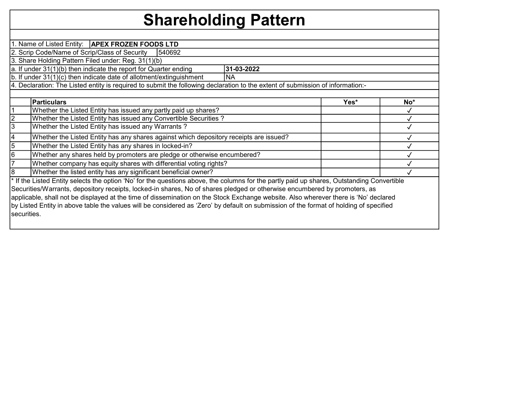## Shareholding Pattern

|             | 1. Name of Listed Entity:   APEX FROZEN FOODS LTD                                                                                          |            |      |     |
|-------------|--------------------------------------------------------------------------------------------------------------------------------------------|------------|------|-----|
|             | 2. Scrip Code/Name of Scrip/Class of Security<br>540692                                                                                    |            |      |     |
|             | 3. Share Holding Pattern Filed under: Reg. 31(1)(b)                                                                                        |            |      |     |
|             | a. If under 31(1)(b) then indicate the report for Quarter ending                                                                           | 31-03-2022 |      |     |
|             | b. If under 31(1)(c) then indicate date of allotment/extinguishment                                                                        | <b>NA</b>  |      |     |
|             | 4. Declaration: The Listed entity is required to submit the following declaration to the extent of submission of information:-             |            |      |     |
|             |                                                                                                                                            |            |      |     |
|             | Particulars                                                                                                                                |            | Yes* | No* |
|             | Whether the Listed Entity has issued any partly paid up shares?                                                                            |            |      |     |
|             | Whether the Listed Entity has issued any Convertible Securities?                                                                           |            |      |     |
| 3           | Whether the Listed Entity has issued any Warrants?                                                                                         |            |      |     |
| 4           | Whether the Listed Entity has any shares against which depository receipts are issued?                                                     |            |      |     |
| 5           | Whether the Listed Entity has any shares in locked-in?                                                                                     |            |      |     |
| 6           | Whether any shares held by promoters are pledge or otherwise encumbered?                                                                   |            |      |     |
|             | Whether company has equity shares with differential voting rights?                                                                         |            |      |     |
| 8           | Whether the listed entity has any significant beneficial owner?                                                                            |            |      |     |
|             | * If the Listed Entity selects the option 'No' for the questions above, the columns for the partly paid up shares, Outstanding Convertible |            |      |     |
|             | Securities/Warrants, depository receipts, locked-in shares, No of shares pledged or otherwise encumbered by promoters, as                  |            |      |     |
|             | applicable, shall not be displayed at the time of dissemination on the Stock Exchange website. Also wherever there is 'No' declared        |            |      |     |
|             | by Listed Entity in above table the values will be considered as 'Zero' by default on submission of the format of holding of specified     |            |      |     |
| securities. |                                                                                                                                            |            |      |     |
|             |                                                                                                                                            |            |      |     |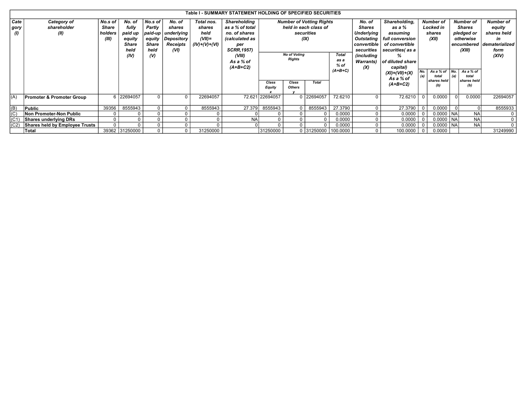|                   | Table I - SUMMARY STATEMENT HOLDING OF SPECIFIED SECURITIES<br>No. of<br>No.s of<br>No.s of<br>No. of<br>Shareholding<br>Total nos.<br><b>Number of Votting Rights</b> |         |                |              |                    |                 |                    |                 |                                      |                       |                |                   |                      |        |                           |            |               |                           |
|-------------------|------------------------------------------------------------------------------------------------------------------------------------------------------------------------|---------|----------------|--------------|--------------------|-----------------|--------------------|-----------------|--------------------------------------|-----------------------|----------------|-------------------|----------------------|--------|---------------------------|------------|---------------|---------------------------|
| Cate              | Category of                                                                                                                                                            | No. of  | Shareholding,  |              | <b>Number of</b>   |                 | <b>Number of</b>   | Number of       |                                      |                       |                |                   |                      |        |                           |            |               |                           |
| gory              | shareholder                                                                                                                                                            | Share   | fully          | Partly       | shares             | shares          | as a % of total    |                 |                                      | held in each class of |                | <b>Shares</b>     | as a %               |        | Locked in                 |            | <b>Shares</b> | equity                    |
| $\omega$          | (II)                                                                                                                                                                   | holders | paid up        |              | paid-up underlying | held            | no, of shares      |                 |                                      | securities            |                | Underlying        | assuming             | shares |                           | pledged or |               | shares held               |
|                   |                                                                                                                                                                        | (III)   | equity         | equity       | Depository         | $(VII)=$        | (calculated as     |                 |                                      | (IX)                  |                | Outstating        | full conversion      |        | (XII)                     | otherwise  |               | in                        |
|                   |                                                                                                                                                                        |         | <b>Share</b>   | <b>Share</b> | Receipts           | $(IV)+(V)+(VI)$ | per                |                 |                                      |                       |                | convertible       | of convertible       |        |                           |            |               | encumbered dematerialized |
|                   |                                                                                                                                                                        |         | held           | held         | (VI)               |                 | <b>SCRR, 1957)</b> |                 |                                      |                       |                | securities        | securities(as a      |        |                           |            | (XIII)        | form                      |
|                   |                                                                                                                                                                        |         | (IV)           | $\omega$     |                    |                 | (VIII)             |                 | <b>No of Voting</b><br><b>Rights</b> |                       | Total          | <i>(including</i> | %                    |        |                           |            |               | (XIV)                     |
|                   |                                                                                                                                                                        |         |                |              |                    |                 | As a % of          |                 |                                      |                       | as a<br>$%$ of | <b>Warrants)</b>  | of diluted share     |        |                           |            |               |                           |
|                   |                                                                                                                                                                        |         |                |              |                    |                 | $(A+B+C2)$         |                 |                                      |                       | $(A+B+C)$      | (X)               | capital)             |        | No. $ $ As a % of $ $ No. |            | As a % of     |                           |
|                   |                                                                                                                                                                        |         |                |              |                    |                 |                    |                 |                                      |                       |                |                   | $(XI) = (VII) + (X)$ | (a)    | total                     | (a)        | total         |                           |
|                   |                                                                                                                                                                        |         |                |              |                    |                 |                    | Class           | Class                                | <b>Total</b>          |                |                   | As a % of            |        | shares held               |            | shares held   |                           |
|                   |                                                                                                                                                                        |         |                |              |                    |                 |                    | <b>Equity</b>   | <b>Others</b>                        |                       |                |                   | $(A+B+C2)$           |        | (b)                       |            | (b)           |                           |
|                   |                                                                                                                                                                        |         |                |              |                    |                 |                    |                 |                                      |                       |                |                   |                      |        |                           |            |               |                           |
| (A)               | <b>Promoter &amp; Promoter Group</b>                                                                                                                                   |         | 6 22694057     | $\Omega$     | $\Omega$           | 22694057        |                    | 72.621 22694057 |                                      | 0 22694057            | 72.6210        | 0                 | 72.6210              |        | 0.0000                    |            | 0.0000        | 22694057                  |
|                   |                                                                                                                                                                        |         |                |              |                    |                 |                    |                 |                                      |                       |                |                   |                      |        |                           |            |               |                           |
| (B)               | Public                                                                                                                                                                 | 39356   | 8555943        | $\Omega$     | $\Omega$           | 8555943         | 27.379             | 8555943         |                                      | 8555943               | 27.3790        | 0                 | 27.3790              |        | 0.0000                    |            |               | 8555933                   |
| (C)               | Non Promoter-Non Public                                                                                                                                                |         |                |              |                    |                 |                    |                 |                                      |                       | 0.0000         | 0                 | 0.0000               |        | $0.0000$ $ NA $           |            | <b>NA</b>     | $\mathbf{0}$              |
| (C <sub>1</sub> ) | Shares underlying DRs                                                                                                                                                  |         |                |              |                    |                 | <b>NA</b>          |                 |                                      | $\Omega$              | 0.0000         | 0                 | 0.0000               |        | $0.0000$   NA             |            | <b>NA</b>     | $\mathbf{0}$              |
| (CZ)              | Shares held by Employee Trusts                                                                                                                                         |         |                | $\Omega$     | 0                  |                 |                    |                 |                                      | $\Omega$              | 0.0000         | 0                 | 0.0000               |        | $0.0000$   NA             |            | <b>NA</b>     | $\mathbf{0}$              |
|                   | Total                                                                                                                                                                  |         | 39362 31250000 | $\Omega$     | $\mathbf{0}$       | 31250000        |                    | 31250000        |                                      | 0 31250000 100.0000   |                | $\overline{0}$    | 100.0000             |        | 0.0000                    |            |               | 31249990                  |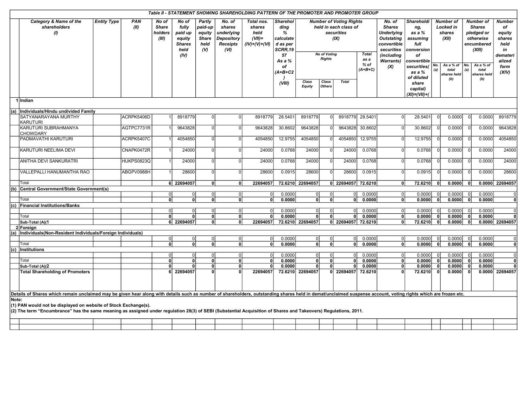|       | Table II - STATEMENT SHOWING SHAREHOLDING PATTERN OF THE PROMOTER AND PROMOTER GROUP<br>Category & Name of the<br><b>Entity Type</b><br><b>PAN</b><br>No of<br>No of<br>Partly<br>No. of<br>Total nos.<br><b>Sharehol</b><br><b>Number of Voting Rights</b><br>No. of<br>Shareholdi<br><b>Number</b> of<br><b>Number of</b><br>shareholders<br>(II)<br><b>Share</b><br>fully<br>paid-up<br>shares<br>shares<br>ding<br>held in each class of<br><b>Shares</b><br><b>Locked in</b><br><b>Shares</b><br>ng, |                                                                                                                                                                       |                   |                  |                                                    |                                          |                                                            |                                      |                                             |                        |                        |                    |                             |                                                                                   |                                                       |       |                                                                                |                 |                                                 |                                                       |
|-------|-----------------------------------------------------------------------------------------------------------------------------------------------------------------------------------------------------------------------------------------------------------------------------------------------------------------------------------------------------------------------------------------------------------------------------------------------------------------------------------------------------------|-----------------------------------------------------------------------------------------------------------------------------------------------------------------------|-------------------|------------------|----------------------------------------------------|------------------------------------------|------------------------------------------------------------|--------------------------------------|---------------------------------------------|------------------------|------------------------|--------------------|-----------------------------|-----------------------------------------------------------------------------------|-------------------------------------------------------|-------|--------------------------------------------------------------------------------|-----------------|-------------------------------------------------|-------------------------------------------------------|
| (1)   |                                                                                                                                                                                                                                                                                                                                                                                                                                                                                                           |                                                                                                                                                                       |                   | holders<br>(III) | paid up<br>equity<br><b>Shares</b><br>held<br>(IV) | equity<br><b>Share</b><br>held<br>$($ V) | underlying<br><b>Depository</b><br><b>Receipts</b><br>(VI) | held<br>$(VII)$ =<br>$(IV)+(V)+(VI)$ | %<br>calculate<br>d as per<br>SCRR,19<br>57 |                        | <b>No of Voting</b>    | securities<br>(IX) | <b>Total</b>                | <b>Underlying</b><br><b>Outstating</b><br>convertible<br>securities<br>(including | as a %<br>assuming<br>full<br>conversion<br>of        |       | shares<br>(XII)<br>As a % of $\vert$ No.<br>No.<br>(a)<br>total<br>shares held |                 | pledged or<br>otherwise<br>encumbered<br>(XIII) | <b>Number</b><br>of<br>equity<br>shares<br>held<br>in |
|       |                                                                                                                                                                                                                                                                                                                                                                                                                                                                                                           |                                                                                                                                                                       |                   |                  |                                                    |                                          |                                                            |                                      | As a %<br>of<br>(A+B+C2                     |                        | <b>Rights</b>          |                    | as a<br>$%$ of<br>$(A+B+C)$ | <b>Warrants)</b><br>(X)                                                           | convertible<br>securities(<br>as a %                  |       |                                                                                |                 | As a % of<br>total<br>shares held               | demateri<br>alized<br>form<br>(XIV)                   |
|       |                                                                                                                                                                                                                                                                                                                                                                                                                                                                                                           |                                                                                                                                                                       |                   |                  |                                                    |                                          |                                                            |                                      | (VIII)                                      | Class<br><b>Equity</b> | Class<br><b>Others</b> | <b>Total</b>       |                             |                                                                                   | of diluted<br>share<br>capital)<br>$(XI) = (VII) + ($ |       | (b)                                                                            |                 | (b)                                             |                                                       |
|       | 1 Indian<br>Individuals/Hindu undivided Family                                                                                                                                                                                                                                                                                                                                                                                                                                                            |                                                                                                                                                                       |                   |                  |                                                    |                                          |                                                            |                                      |                                             |                        |                        |                    |                             |                                                                                   |                                                       |       |                                                                                |                 |                                                 |                                                       |
| (a)   | SATYANARAYANA MURTHY<br>ACRPK5406D<br>8918779<br>0<br>8918779<br>28.5401<br>8918779<br>8918779<br>28.5401<br>28.5401<br>0.0000<br>0.0000<br>$\Omega$<br>$\Omega$<br>$\Omega$<br>-01<br>$\Omega$                                                                                                                                                                                                                                                                                                           |                                                                                                                                                                       |                   |                  |                                                    |                                          |                                                            |                                      |                                             |                        |                        |                    |                             |                                                                                   |                                                       |       |                                                                                |                 |                                                 |                                                       |
|       | <b>KARUTURI</b>                                                                                                                                                                                                                                                                                                                                                                                                                                                                                           | 8918779<br>9643828<br>30.8602<br>9643828<br>30.8602<br>0.0000<br>0.0000<br>9643828<br>AGTPC7731R<br>9643828<br>$\Omega$<br>9643828<br>30.8602<br>$\Omega$<br>$\Omega$ |                   |                  |                                                    |                                          |                                                            |                                      |                                             |                        |                        |                    |                             |                                                                                   |                                                       |       |                                                                                |                 |                                                 |                                                       |
|       | KARUTURI SUBRAHMANYA<br><b>CHOWDARY</b>                                                                                                                                                                                                                                                                                                                                                                                                                                                                   |                                                                                                                                                                       |                   |                  |                                                    |                                          |                                                            |                                      |                                             |                        |                        |                    |                             |                                                                                   |                                                       |       |                                                                                |                 |                                                 |                                                       |
|       | PADMAVATHI KARUTURI                                                                                                                                                                                                                                                                                                                                                                                                                                                                                       |                                                                                                                                                                       | ACRPK5407C        |                  | 4054850                                            | ΩI                                       | $\Omega$                                                   | 4054850                              | 12.9755                                     | 4054850                |                        | 4054850            | 12.9755                     |                                                                                   | 12.9755                                               |       | 0.0000                                                                         |                 | 0.0000                                          | 4054850                                               |
|       | KARUTURI NEELIMA DEVI                                                                                                                                                                                                                                                                                                                                                                                                                                                                                     |                                                                                                                                                                       | CNAPK0472R        |                  | 24000                                              | ΩI                                       | ΩI                                                         | 24000                                | 0.0768                                      | 24000                  | $\Omega$               | 24000              | 0.0768                      | $\Omega$                                                                          | 0.0768                                                |       | 0.0000                                                                         |                 | 0.0000                                          | 24000                                                 |
|       | <b>ANITHA DEVI SANKURATRI</b>                                                                                                                                                                                                                                                                                                                                                                                                                                                                             |                                                                                                                                                                       | <b>HUKPS0823Q</b> |                  | 24000                                              | $\Omega$                                 |                                                            | 24000                                | 0.0768                                      | 24000                  | $\Omega$               | 24000              | 0.0768                      |                                                                                   | 0.0768                                                |       | 0.0000                                                                         |                 | 0.0000                                          | 24000                                                 |
|       | VALLEPALLI HANUMANTHA RAO                                                                                                                                                                                                                                                                                                                                                                                                                                                                                 |                                                                                                                                                                       | ABGPV0988H        |                  | 28600                                              | $\Omega$                                 | $\Omega$                                                   | 28600                                | 0.0915                                      | 28600                  | $\Omega$               | 28600              | 0.0915                      | $\Omega$                                                                          | 0.0915                                                | 0     | 0.0000                                                                         | $\Omega$        | 0.0000                                          | 28600                                                 |
|       | Total                                                                                                                                                                                                                                                                                                                                                                                                                                                                                                     |                                                                                                                                                                       |                   |                  | 6 22694057                                         | 0                                        | 0                                                          | 22694057                             |                                             | 72.6210 22694057       |                        | 0 22694057 72.6210 |                             | $\Omega$                                                                          | 72.6210                                               | 0     | 0.0000                                                                         | $\Omega$        |                                                 | 0.0000 22694057                                       |
|       | (b) Central Government/State Government(s)                                                                                                                                                                                                                                                                                                                                                                                                                                                                |                                                                                                                                                                       |                   | $\Omega$         | 0l                                                 | οI                                       | $\overline{0}$                                             | -01                                  | 0.0000                                      | $\overline{0}$         | $\Omega$               | 0I                 | 0.0000                      | $\Omega$                                                                          | 0.0000                                                | -01   | 0.0000                                                                         | 0               | 0.0000                                          | 0l                                                    |
|       | Total                                                                                                                                                                                                                                                                                                                                                                                                                                                                                                     |                                                                                                                                                                       |                   | 0                | $\overline{\mathbf{0}}$                            | $\overline{0}$                           | 0                                                          | 0                                    | 0.0000                                      | 0                      | 0                      | 0                  | 0.0000                      | 0                                                                                 | 0.0000                                                | 0     | 0.0000                                                                         | ol              | 0.0000                                          | 0                                                     |
|       | (c) Financial Institutions/Banks                                                                                                                                                                                                                                                                                                                                                                                                                                                                          |                                                                                                                                                                       |                   |                  |                                                    |                                          |                                                            |                                      |                                             |                        |                        |                    |                             |                                                                                   |                                                       |       |                                                                                |                 |                                                 |                                                       |
|       |                                                                                                                                                                                                                                                                                                                                                                                                                                                                                                           |                                                                                                                                                                       |                   | U                | 0l                                                 | 0                                        | 0                                                          | 0l                                   | 0.0000                                      | 0                      | O                      | 0l                 | 0.0000                      | $\overline{0}$                                                                    | 0.0000                                                | -01   | 0.0000                                                                         | - 0             | 0.0000                                          | $\overline{0}$                                        |
|       | Total                                                                                                                                                                                                                                                                                                                                                                                                                                                                                                     |                                                                                                                                                                       |                   | 0                | ٥I                                                 | 0                                        | 0                                                          | $\Omega$                             | 0.0000                                      | 0                      | $\mathbf{0}$           | $\mathbf{0}$       | 0.0000                      | 0                                                                                 | 0.0000                                                | 0     | 0.0000                                                                         | 0               | 0.0000                                          |                                                       |
|       | Sub-Total (A)(1                                                                                                                                                                                                                                                                                                                                                                                                                                                                                           |                                                                                                                                                                       |                   |                  | 6 22694057                                         | οI                                       | 0 <sup>1</sup>                                             | 22694057                             |                                             | 72.6210 22694057       |                        | 0 22694057 72.6210 |                             | $\mathbf{0}$                                                                      | 72.6210                                               | 0     | 0.0000                                                                         | 0               |                                                 | 0.0000 22694057                                       |
|       | 2 Foreign                                                                                                                                                                                                                                                                                                                                                                                                                                                                                                 |                                                                                                                                                                       |                   |                  |                                                    |                                          |                                                            |                                      |                                             |                        |                        |                    |                             |                                                                                   |                                                       |       |                                                                                |                 |                                                 |                                                       |
|       | (a) Individuals (Non-Resident Individuals/Foreign Individuals)                                                                                                                                                                                                                                                                                                                                                                                                                                            |                                                                                                                                                                       |                   |                  |                                                    |                                          |                                                            |                                      |                                             |                        |                        |                    |                             |                                                                                   |                                                       |       |                                                                                |                 |                                                 |                                                       |
|       | Total                                                                                                                                                                                                                                                                                                                                                                                                                                                                                                     |                                                                                                                                                                       |                   | 0                | 01                                                 | 0                                        | 0I                                                         | 0l                                   | 0.0000                                      | 0l                     | $\Omega$               | 0l                 | 0.0000                      | $\overline{0}$                                                                    | 0.0000                                                | 0l    | 0.0000                                                                         | 0               | 0.0000                                          | $\overline{0}$                                        |
|       |                                                                                                                                                                                                                                                                                                                                                                                                                                                                                                           |                                                                                                                                                                       |                   | 0                | ٥l                                                 | οI                                       | οl                                                         | ٥I                                   | 0.0000                                      | 0                      | 0                      | 0l                 | 0.0000                      | 0                                                                                 | 0.0000                                                | 0     | 0.0000                                                                         | 0               | 0.0000                                          | 0                                                     |
|       | (c) Institutions                                                                                                                                                                                                                                                                                                                                                                                                                                                                                          |                                                                                                                                                                       |                   | 0                | $\Omega$                                           | 0l                                       | 0l                                                         | -01                                  | 0.0000                                      | $\overline{0}$         |                        | $\Omega$           | 0.0000                      | $\Omega$                                                                          | 0.0000                                                | 0l    | 0.0000                                                                         | $\vert 0 \vert$ | 0.0000                                          | $\Omega$                                              |
|       | Total                                                                                                                                                                                                                                                                                                                                                                                                                                                                                                     |                                                                                                                                                                       |                   | 0                | ٥I                                                 | 0                                        | 0                                                          | οl                                   | 0.0000                                      | $\mathbf 0$            | $\mathbf{0}$           | $\mathbf{0}$       | 0.0000                      | $\mathbf{0}$                                                                      | 0.0000                                                | 0     | 0.0000                                                                         | $\mathbf{0}$    | 0.0000                                          | $\mathbf{0}$                                          |
|       | Sub-Total (A)(2                                                                                                                                                                                                                                                                                                                                                                                                                                                                                           |                                                                                                                                                                       |                   | Û                | 0l                                                 | 0                                        | 0l                                                         | <sup>0</sup>                         | 0.0000                                      | 0                      | $\mathbf{0}$           | $\Omega$           | 0.0000                      | $\Omega$                                                                          | 0.0000                                                | 0l    | 0.0000                                                                         | 0               | 0.0000                                          |                                                       |
|       | <b>Total Shareholding of Promoters</b>                                                                                                                                                                                                                                                                                                                                                                                                                                                                    |                                                                                                                                                                       |                   | 61               | 22694057                                           |                                          |                                                            | 22694057                             |                                             | 72.6210 22694057       |                        | 0 22694057         | 72.6210                     |                                                                                   | 72.6210                                               | - 0 I | 0.0000                                                                         | 0               |                                                 | 0.0000 22694057                                       |
|       |                                                                                                                                                                                                                                                                                                                                                                                                                                                                                                           |                                                                                                                                                                       |                   |                  |                                                    |                                          |                                                            |                                      |                                             |                        |                        |                    |                             |                                                                                   |                                                       |       |                                                                                |                 |                                                 |                                                       |
|       | Details of Shares which remain unclaimed may be given hear along with details such as number of shareholders, outstanding shares held in demat/unclaimed suspense account, voting rights which are frozen etc.                                                                                                                                                                                                                                                                                            |                                                                                                                                                                       |                   |                  |                                                    |                                          |                                                            |                                      |                                             |                        |                        |                    |                             |                                                                                   |                                                       |       |                                                                                |                 |                                                 |                                                       |
| Note: | (1) PAN would not be displayed on website of Stock Exchange(s).<br>(2) The term "Encumbrance" has the same meaning as assigned under regulation 28(3) of SEBI (Substantial Acquisition of Shares and Takeovers) Regulations, 2011.                                                                                                                                                                                                                                                                        |                                                                                                                                                                       |                   |                  |                                                    |                                          |                                                            |                                      |                                             |                        |                        |                    |                             |                                                                                   |                                                       |       |                                                                                |                 |                                                 |                                                       |
|       |                                                                                                                                                                                                                                                                                                                                                                                                                                                                                                           |                                                                                                                                                                       |                   |                  |                                                    |                                          |                                                            |                                      |                                             |                        |                        |                    |                             |                                                                                   |                                                       |       |                                                                                |                 |                                                 |                                                       |
|       |                                                                                                                                                                                                                                                                                                                                                                                                                                                                                                           |                                                                                                                                                                       |                   |                  |                                                    |                                          |                                                            |                                      |                                             |                        |                        |                    |                             |                                                                                   |                                                       |       |                                                                                |                 |                                                 |                                                       |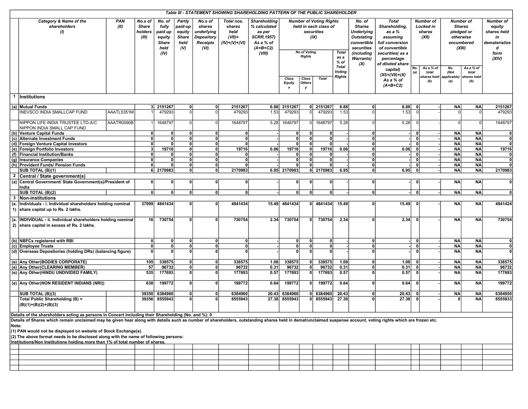|                |                                                                                                                                                                                                                                                                                                                                                                                                                                                                                                                                                                    |                    |                                             |                                                                      |                                                               |                                                                          |                                                              | Table III - STATEMENT SHOWING SHAREHOLDING PATTERN OF THE PUBLIC SHAREHOLDER                      |                                            |                             |                                                                               |                                                 |                                                                                                              |                                                                                                             |                                                  |                                                                                      |                        |                                                                               |
|----------------|--------------------------------------------------------------------------------------------------------------------------------------------------------------------------------------------------------------------------------------------------------------------------------------------------------------------------------------------------------------------------------------------------------------------------------------------------------------------------------------------------------------------------------------------------------------------|--------------------|---------------------------------------------|----------------------------------------------------------------------|---------------------------------------------------------------|--------------------------------------------------------------------------|--------------------------------------------------------------|---------------------------------------------------------------------------------------------------|--------------------------------------------|-----------------------------|-------------------------------------------------------------------------------|-------------------------------------------------|--------------------------------------------------------------------------------------------------------------|-------------------------------------------------------------------------------------------------------------|--------------------------------------------------|--------------------------------------------------------------------------------------|------------------------|-------------------------------------------------------------------------------|
|                | Category & Name of the<br>shareholders<br>$\omega$                                                                                                                                                                                                                                                                                                                                                                                                                                                                                                                 | <b>PAN</b><br>(II) | No.s of<br><b>Share</b><br>holders<br>(III) | No. of<br>fully<br>paid up<br>equity<br><b>Share</b><br>held<br>(IV) | Partly<br>paid-up<br>equity<br><b>Share</b><br>held<br>$($ V) | No.s of<br>shares<br>underlying<br>Depository<br><b>Receipts</b><br>(VI) | Total nos.<br>shares<br>held<br>$(VII)$ =<br>$(IV)+(V)+(VI)$ | Shareholding<br>% calculated<br>as per<br><b>SCRR, 1957)</b><br>As a % of<br>$(A+B+C2)$<br>(VIII) |                                            | <b>No of Voting</b>         | <b>Number of Voting Rights</b><br>held in each class of<br>securities<br>(IX) | <b>Total</b>                                    | No. of<br><b>Shares</b><br><b>Underlying</b><br><b>Outstating</b><br>convertible<br>securities<br>(including | <b>Total</b><br>Shareholding,<br>as a %<br>assuming<br>full conversion<br>of convertible<br>securities(as a | <b>Number of</b><br>Locked in<br>shares<br>(XII) | <b>Number of</b><br><b>Shares</b><br>pledged or<br>otherwise<br>encumbered<br>(XIII) |                        | <b>Number of</b><br>equity<br>shares held<br>in<br>dematerialize<br>d<br>form |
|                |                                                                                                                                                                                                                                                                                                                                                                                                                                                                                                                                                                    |                    |                                             |                                                                      |                                                               |                                                                          |                                                              |                                                                                                   |                                            | <b>Rights</b>               |                                                                               | as a<br>$%$ of<br><b>Total</b><br><b>Voting</b> | <b>Warrants)</b><br>(X)                                                                                      | percentage<br>of diluted share<br>capital)<br>$(XI) = (VII) + (X)$                                          | No.<br>As a % of<br>(a)<br>total                 | No.<br>(Not                                                                          | As a % of<br>total     | (XIV)                                                                         |
|                |                                                                                                                                                                                                                                                                                                                                                                                                                                                                                                                                                                    |                    |                                             |                                                                      |                                                               |                                                                          |                                                              |                                                                                                   | Class<br><b>Equity</b><br>$\boldsymbol{x}$ | Class<br><b>Others</b><br>у | <b>Total</b>                                                                  | <b>Rights</b>                                   |                                                                                                              | As a % of<br>$(A+B+C2)$                                                                                     | shares held<br>(b)                               | applicable)<br>(a)                                                                   | hares held<br>(b)      |                                                                               |
| $\mathbf{1}$   | Institutions                                                                                                                                                                                                                                                                                                                                                                                                                                                                                                                                                       |                    |                                             |                                                                      |                                                               |                                                                          |                                                              |                                                                                                   |                                            |                             |                                                                               |                                                 |                                                                                                              |                                                                                                             |                                                  |                                                                                      |                        |                                                                               |
|                | (a) Mutual Funds                                                                                                                                                                                                                                                                                                                                                                                                                                                                                                                                                   |                    |                                             | 3 2151267                                                            | 0                                                             | $\Omega$                                                                 | 2151267                                                      |                                                                                                   | 6.88 2151267                               |                             | 0 2151267                                                                     | 6.88                                            | ΟI                                                                                                           | 6.88                                                                                                        | $\mathbf{0}$                                     | <b>NA</b>                                                                            | <b>NA</b>              | 2151267                                                                       |
|                | INEVSCO INDIA SMALLCAP FUND                                                                                                                                                                                                                                                                                                                                                                                                                                                                                                                                        | AAATL5351M         |                                             | 479293                                                               |                                                               |                                                                          | 479293                                                       | 1.53                                                                                              | 479293                                     |                             | 479293                                                                        | 1.53                                            |                                                                                                              | 1.53                                                                                                        |                                                  | $\Omega$                                                                             | $\Omega$               | 479293                                                                        |
|                | NIPPON LIFE INDIA TRUSTEE LTD-A/C                                                                                                                                                                                                                                                                                                                                                                                                                                                                                                                                  | AAATR0090B         |                                             | 1648797                                                              | n١                                                            | O                                                                        | 1648797                                                      | 5.28                                                                                              | 1648797                                    | 0l                          | 1648797                                                                       | 5.28                                            |                                                                                                              | 5.28                                                                                                        |                                                  | $\Omega$                                                                             | $\overline{0}$         | 1648797                                                                       |
|                | NIPPON INDIA SMALL CAP FUND                                                                                                                                                                                                                                                                                                                                                                                                                                                                                                                                        |                    |                                             |                                                                      |                                                               |                                                                          |                                                              |                                                                                                   |                                            |                             |                                                                               |                                                 |                                                                                                              |                                                                                                             |                                                  |                                                                                      |                        |                                                                               |
|                | (b) Venture Capital Funds<br>(c) Alternate Investment Funds                                                                                                                                                                                                                                                                                                                                                                                                                                                                                                        |                    | $\mathbf{0}$<br>$\mathbf{0}$                | 0<br>$\mathbf{0}$                                                    | 0<br>٥I                                                       | $\mathbf{0}$<br>$\Omega$                                                 | 0<br>-ol                                                     |                                                                                                   | 0<br> 0                                    | 0 <br> 0                    | 0 <br>$\mathbf 0$                                                             |                                                 | 0<br>$\mathbf{0}$                                                                                            |                                                                                                             | $\mathbf{0}$<br>$\mathbf{0}$                     | <b>NA</b><br><b>NA</b>                                                               | <b>NA</b><br><b>NA</b> | 0 <br>$\mathbf 0$                                                             |
|                | (d) Foreign Venture Capital Investors                                                                                                                                                                                                                                                                                                                                                                                                                                                                                                                              |                    | $\mathbf{0}$                                | $\mathbf{0}$                                                         | ٥I                                                            | $\mathbf{0}$                                                             | 0                                                            |                                                                                                   | $\mathbf{0}$                               | $\mathbf{0}$                | $\Omega$                                                                      |                                                 | $\mathbf{a}$                                                                                                 |                                                                                                             | $\Omega$                                         | <b>NA</b>                                                                            | <b>NA</b>              | $\mathbf{0}$                                                                  |
|                | (e) Foreign Portfolio Investors                                                                                                                                                                                                                                                                                                                                                                                                                                                                                                                                    |                    | $\mathbf{3}$                                | 19716                                                                | 0                                                             | $\Omega$                                                                 | 19716                                                        | 0.06                                                                                              | 19716                                      | 0                           | 19716                                                                         | 0.06                                            | $\mathbf{0}$                                                                                                 | 0.06                                                                                                        |                                                  | <b>NA</b>                                                                            | <b>NA</b>              | 19716                                                                         |
|                | (f) Financial Institution/Banks                                                                                                                                                                                                                                                                                                                                                                                                                                                                                                                                    |                    | $\mathbf{0}$                                |                                                                      | n١                                                            | $\mathbf{0}$                                                             | $\Omega$                                                     |                                                                                                   | $\mathbf{0}$                               | 0                           | 0                                                                             |                                                 | $\mathbf{a}$                                                                                                 |                                                                                                             | $\mathbf{0}$                                     | <b>NA</b>                                                                            | <b>NA</b>              | 0                                                                             |
|                | (g) Insurance Companies                                                                                                                                                                                                                                                                                                                                                                                                                                                                                                                                            |                    | $\mathbf{0}$                                | $\mathbf{0}$                                                         | 0                                                             | $\Omega$                                                                 | $\mathbf{0}$                                                 |                                                                                                   | $\mathbf{0}$                               | $\mathbf{0}$                | $\mathbf{0}$                                                                  |                                                 | $\mathbf{0}$                                                                                                 |                                                                                                             | $\mathbf{a}$                                     | <b>NA</b>                                                                            | <b>NA</b>              | $\mathbf{0}$                                                                  |
|                | (h) Provident Funds/ Pension Funds                                                                                                                                                                                                                                                                                                                                                                                                                                                                                                                                 |                    | $\Omega$                                    | O                                                                    | ٥l                                                            | $\mathbf{0}$                                                             | $\mathbf{0}$                                                 |                                                                                                   | $\Omega$                                   | 0                           | 0                                                                             |                                                 | 0                                                                                                            |                                                                                                             |                                                  | <b>NA</b>                                                                            | <b>NA</b>              |                                                                               |
|                | SUB TOTAL (B)(1)                                                                                                                                                                                                                                                                                                                                                                                                                                                                                                                                                   |                    |                                             | 6 2170983                                                            | ٥l                                                            | $\Omega$                                                                 | 2170983                                                      |                                                                                                   | 6.95 2170983                               |                             | 0 2170983                                                                     | 6.95                                            | 0                                                                                                            | 6.95                                                                                                        | $\mathbf{0}$                                     | <b>NA</b>                                                                            | <b>NA</b>              | 2170983                                                                       |
| $\overline{2}$ | Central / State government(s)                                                                                                                                                                                                                                                                                                                                                                                                                                                                                                                                      |                    |                                             |                                                                      |                                                               |                                                                          |                                                              |                                                                                                   |                                            |                             |                                                                               |                                                 |                                                                                                              |                                                                                                             |                                                  |                                                                                      |                        |                                                                               |
| (a)            | Central Government/ State Government(s)/President of<br>India                                                                                                                                                                                                                                                                                                                                                                                                                                                                                                      |                    | 0<br>0                                      | $\mathbf{0}$<br>Û                                                    | <b>n</b><br>٥l                                                | $\mathbf{0}$<br>$\Omega$                                                 | 0<br>$\Omega$                                                |                                                                                                   | 0 <br>$\mathbf{0}$                         | 0                           | 0                                                                             |                                                 | $\mathbf{a}$                                                                                                 |                                                                                                             | 0                                                | <b>NA</b><br><b>NA</b>                                                               | <b>NA</b>              | $\mathbf{0}$<br>$\mathbf{0}$                                                  |
| $\mathbf{3}$   | SUB TOTAL (B)(2)<br>Non-institutions                                                                                                                                                                                                                                                                                                                                                                                                                                                                                                                               |                    |                                             |                                                                      |                                                               |                                                                          |                                                              |                                                                                                   |                                            | 0                           | 0                                                                             |                                                 | $\mathbf{0}$                                                                                                 |                                                                                                             | $\mathbf{0}$                                     |                                                                                      | <b>NA</b>              |                                                                               |
| (a.            | Individuals - i. Individual shareholders holding nominal<br>1) share capital up to Rs. 2 lakhs.                                                                                                                                                                                                                                                                                                                                                                                                                                                                    |                    | 37999                                       | 4841434                                                              |                                                               | C                                                                        | 4841434                                                      | 15.49                                                                                             | 4841434                                    |                             | 0 4841434                                                                     | 15.49                                           | $\mathbf{a}$                                                                                                 | 15.49                                                                                                       |                                                  | <b>NA</b>                                                                            | <b>NA</b>              | 4841424                                                                       |
|                |                                                                                                                                                                                                                                                                                                                                                                                                                                                                                                                                                                    |                    |                                             |                                                                      |                                                               |                                                                          |                                                              |                                                                                                   |                                            |                             |                                                                               |                                                 |                                                                                                              |                                                                                                             |                                                  |                                                                                      |                        |                                                                               |
| (a.            | INDIVIDUAL - ii. Individual shareholders holding nominal<br>2) share capital in excess of Rs. 2 lakhs.                                                                                                                                                                                                                                                                                                                                                                                                                                                             |                    | 16 <sup>1</sup>                             | 730754                                                               |                                                               |                                                                          | 730754                                                       | 2.34                                                                                              | 730754                                     | $\mathbf{0}$                | 730754                                                                        | 2.34                                            | $\mathbf{a}$                                                                                                 | 2.34                                                                                                        |                                                  | <b>NA</b>                                                                            | <b>NA</b>              | 730754                                                                        |
|                | (b) NBFCs registered with RBI                                                                                                                                                                                                                                                                                                                                                                                                                                                                                                                                      |                    | $\mathbf{0}$                                | $\mathbf 0$                                                          | n١                                                            | $\mathbf{a}$                                                             | 0                                                            |                                                                                                   | 0l                                         | 0                           | 0                                                                             |                                                 | $\mathbf{0}$                                                                                                 |                                                                                                             | $\mathbf{0}$                                     | <b>NA</b>                                                                            | <b>NA</b>              | $\mathbf{0}$                                                                  |
|                | (c) Employee Trusts                                                                                                                                                                                                                                                                                                                                                                                                                                                                                                                                                |                    | $\mathbf{0}$                                | $\mathbf{0}$                                                         | ٥l                                                            | $\mathbf{0}$                                                             | -ol                                                          |                                                                                                   | 0                                          | 0                           | 0                                                                             |                                                 | $\mathbf{0}$                                                                                                 |                                                                                                             | $\mathbf{0}$                                     | <b>NA</b>                                                                            | <b>NA</b>              | $\mathbf{0}$                                                                  |
|                | (d) Overseas Depositories (holding DRs) (balancing figure)                                                                                                                                                                                                                                                                                                                                                                                                                                                                                                         |                    | 0                                           | $\mathbf{a}$                                                         | ΩI                                                            | $\mathbf{0}$                                                             | $\Omega$                                                     |                                                                                                   | $\mathbf{0}$                               | $\mathbf{0}$                | $\mathbf{0}$                                                                  |                                                 | n                                                                                                            |                                                                                                             | $\Omega$                                         | <b>NA</b>                                                                            | <b>NA</b>              | $\mathbf 0$                                                                   |
|                | (e) Any Other (BODIES CORPORATE)                                                                                                                                                                                                                                                                                                                                                                                                                                                                                                                                   |                    | 105                                         | 338575                                                               | οl                                                            | 0                                                                        | 338575                                                       | 1.08                                                                                              | 338575                                     | 0                           | 338575                                                                        | 1.08                                            | $\mathbf{0}$                                                                                                 | 1.08                                                                                                        | $\Omega$                                         | <b>NA</b>                                                                            | <b>NA</b>              | 338575                                                                        |
|                | (e) Any Other (CLEARING MEMBER)                                                                                                                                                                                                                                                                                                                                                                                                                                                                                                                                    |                    | 57                                          | 96732                                                                | ٥I                                                            | 0                                                                        | 96732                                                        | 0.31                                                                                              | 96732                                      | $\mathbf{0}$                | 96732                                                                         | 0.31                                            | $\mathbf{0}$                                                                                                 | 0.31                                                                                                        | $\Omega$                                         | <b>NA</b>                                                                            | <b>NA</b>              | 96732                                                                         |
|                | (e) Any Other (HINDU UNDIVIDED FAMILY)                                                                                                                                                                                                                                                                                                                                                                                                                                                                                                                             |                    | 535                                         | 177693                                                               | ٥l                                                            | 0                                                                        | 177693                                                       | 0.57                                                                                              | 177693                                     | $\mathbf{0}$                | 177693                                                                        | 0.57                                            | 0                                                                                                            | 0.57                                                                                                        | $\mathbf{0}$                                     | <b>NA</b>                                                                            | <b>NA</b>              | 177693                                                                        |
|                | (e) Any Other (NON RESIDENT INDIANS (NRI))                                                                                                                                                                                                                                                                                                                                                                                                                                                                                                                         |                    | 638                                         | 199772                                                               | ٥l                                                            | $\Omega$                                                                 | 199772                                                       | 0.64                                                                                              | 199772                                     | $\mathbf{0}$                | 199772                                                                        | 0.64                                            | $\mathbf{0}$                                                                                                 | 0.64                                                                                                        | $\mathbf{0}$                                     | <b>NA</b>                                                                            | <b>NA</b>              | 199772                                                                        |
|                | <b>SUB TOTAL (B)(3)</b>                                                                                                                                                                                                                                                                                                                                                                                                                                                                                                                                            |                    | 39350                                       | 6384960                                                              | ٥I                                                            | $\mathbf{0}$                                                             | 6384960                                                      | 20.43                                                                                             | 6384960                                    | 0                           | 6384960                                                                       | 20.43                                           | $\mathbf{0}$                                                                                                 | 20.43                                                                                                       |                                                  | <b>NA</b>                                                                            | <b>NA</b>              | 6384950                                                                       |
|                | Total Public Shareholding (B) =<br>$(B)(1)+(B)(2)+(B)(3)$                                                                                                                                                                                                                                                                                                                                                                                                                                                                                                          |                    | 39356                                       | 8555943                                                              |                                                               | n                                                                        | 8555943                                                      | 27.38                                                                                             | 8555943                                    | $\mathbf{0}$                | 8555943                                                                       | 27.38                                           | n                                                                                                            | 27.38                                                                                                       |                                                  | ŋ                                                                                    | <b>NA</b>              | 8555933                                                                       |
| Note:          | Details of the shareholders acting as persons in Concert including their Shareholding (No. and %): 0<br>Details of Shares which remain unclaimed may be given hear along with details such as number of shareholders, outstanding shares held in demat/unclaimed suspense account, voting rights which are frozen etc.<br>(1) PAN would not be displayed on website of Stock Exchange(s).<br>(2) The above format needs to be disclosed along with the name of following persons:<br>Institutions/Non Institutions holding more than 1% of total number of shares. |                    |                                             |                                                                      |                                                               |                                                                          |                                                              |                                                                                                   |                                            |                             |                                                                               |                                                 |                                                                                                              |                                                                                                             |                                                  |                                                                                      |                        |                                                                               |
|                |                                                                                                                                                                                                                                                                                                                                                                                                                                                                                                                                                                    |                    |                                             |                                                                      |                                                               |                                                                          |                                                              |                                                                                                   |                                            |                             |                                                                               |                                                 |                                                                                                              |                                                                                                             |                                                  |                                                                                      |                        |                                                                               |
|                |                                                                                                                                                                                                                                                                                                                                                                                                                                                                                                                                                                    |                    |                                             |                                                                      |                                                               |                                                                          |                                                              |                                                                                                   |                                            |                             |                                                                               |                                                 |                                                                                                              |                                                                                                             |                                                  |                                                                                      |                        |                                                                               |